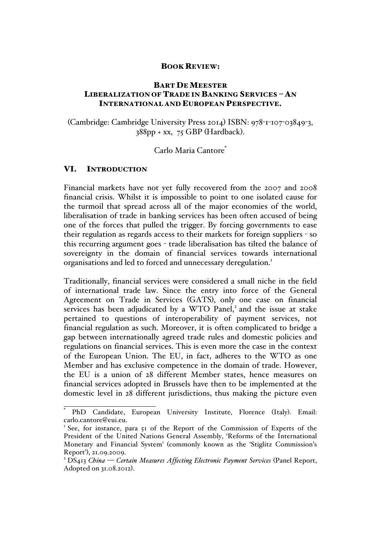### BOOK REVIEW:

# BART DE MEESTER LIBERALIZATION OF TRADE IN BANKING SERVICES – AN INTERNATIONAL AND EUROPEAN PERSPECTIVE.

(Cambridge: Cambridge University Press 2014) ISBN: 978-1-107-03849-3, 388pp + xx, 75 GBP (Hardback).

Carlo Maria Cantore<sup>\*</sup>

## VI. INTRODUCTION

Financial markets have not yet fully recovered from the 2007 and 2008 financial crisis. Whilst it is impossible to point to one isolated cause for the turmoil that spread across all of the major economies of the world, liberalisation of trade in banking services has been often accused of being one of the forces that pulled the trigger. By forcing governments to ease their regulation as regards access to their markets for foreign suppliers - so this recurring argument goes - trade liberalisation has tilted the balance of sovereignty in the domain of financial services towards international organisations and led to forced and unnecessary deregulation.<sup>1</sup>

Traditionally, financial services were considered a small niche in the field of international trade law. Since the entry into force of the General Agreement on Trade in Services (GATS), only one case on financial services has been adjudicated by a WTO Panel,<sup>2</sup> and the issue at stake pertained to questions of interoperability of payment services, not financial regulation as such. Moreover, it is often complicated to bridge a gap between internationally agreed trade rules and domestic policies and regulations on financial services. This is even more the case in the context of the European Union. The EU, in fact, adheres to the WTO as one Member and has exclusive competence in the domain of trade. However, the EU is a union of 28 different Member states, hence measures on financial services adopted in Brussels have then to be implemented at the domestic level in 28 different jurisdictions, thus making the picture even

PhD Candidate, European University Institute, Florence (Italy). Email: carlo.cantore@eui.eu.<br><sup>1</sup> See, for instance, para 51 of the Report of the Commission of Experts of the

President of the United Nations General Assembly, 'Reforms of the International Monetary and Financial System' (commonly known as the 'Stiglitz Commission's Report'), 21.09.2009.<br><sup>2</sup> DS<sub>413</sub> *China — Certain Measures Affecting Electronic Payment Services* (Panel Report,

Adopted on 31.08.2012).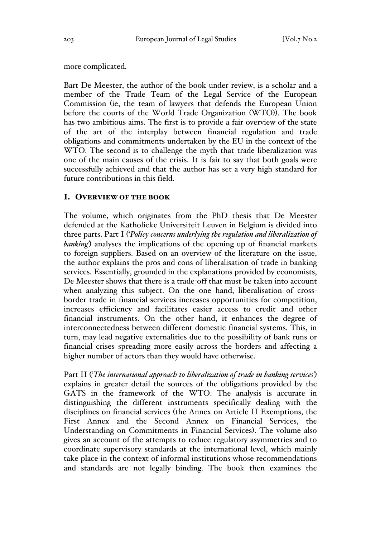more complicated.

Bart De Meester, the author of the book under review, is a scholar and a member of the Trade Team of the Legal Service of the European Commission (ie, the team of lawyers that defends the European Union before the courts of the World Trade Organization (WTO)). The book has two ambitious aims. The first is to provide a fair overview of the state of the art of the interplay between financial regulation and trade obligations and commitments undertaken by the EU in the context of the WTO. The second is to challenge the myth that trade liberalization was one of the main causes of the crisis. It is fair to say that both goals were successfully achieved and that the author has set a very high standard for future contributions in this field.

### I. OVERVIEW OF THE BOOK

The volume, which originates from the PhD thesis that De Meester defended at the Katholieke Universiteit Leuven in Belgium is divided into three parts. Part I ('*Policy concerns underlying the regulation and liberalization of banking'*) analyses the implications of the opening up of financial markets to foreign suppliers. Based on an overview of the literature on the issue, the author explains the pros and cons of liberalisation of trade in banking services. Essentially, grounded in the explanations provided by economists, De Meester shows that there is a trade-off that must be taken into account when analyzing this subject. On the one hand, liberalisation of crossborder trade in financial services increases opportunities for competition, increases efficiency and facilitates easier access to credit and other financial instruments. On the other hand, it enhances the degree of interconnectedness between different domestic financial systems. This, in turn, may lead negative externalities due to the possibility of bank runs or financial crises spreading more easily across the borders and affecting a higher number of actors than they would have otherwise.

Part II ('*The international approach to liberalization of trade in banking services'*) explains in greater detail the sources of the obligations provided by the GATS in the framework of the WTO. The analysis is accurate in distinguishing the different instruments specifically dealing with the disciplines on financial services (the Annex on Article II Exemptions, the First Annex and the Second Annex on Financial Services, the Understanding on Commitments in Financial Services). The volume also gives an account of the attempts to reduce regulatory asymmetries and to coordinate supervisory standards at the international level, which mainly take place in the context of informal institutions whose recommendations and standards are not legally binding. The book then examines the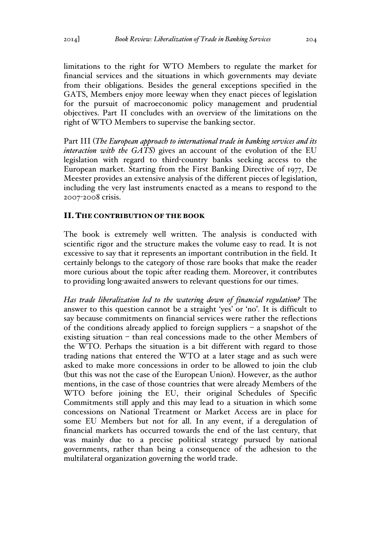limitations to the right for WTO Members to regulate the market for financial services and the situations in which governments may deviate from their obligations. Besides the general exceptions specified in the GATS, Members enjoy more leeway when they enact pieces of legislation for the pursuit of macroeconomic policy management and prudential objectives. Part II concludes with an overview of the limitations on the right of WTO Members to supervise the banking sector.

Part III (*The European approach to international trade in banking services and its interaction with the GATS*) gives an account of the evolution of the EU legislation with regard to third-country banks seeking access to the European market. Starting from the First Banking Directive of 1977, De Meester provides an extensive analysis of the different pieces of legislation, including the very last instruments enacted as a means to respond to the 2007-2008 crisis.

#### II.THE CONTRIBUTION OF THE BOOK

The book is extremely well written. The analysis is conducted with scientific rigor and the structure makes the volume easy to read. It is not excessive to say that it represents an important contribution in the field. It certainly belongs to the category of those rare books that make the reader more curious about the topic after reading them. Moreover, it contributes to providing long-awaited answers to relevant questions for our times.

*Has trade liberalization led to the watering down of financial regulation?* The answer to this question cannot be a straight 'yes' or 'no'. It is difficult to say because commitments on financial services were rather the reflections of the conditions already applied to foreign suppliers – a snapshot of the existing situation – than real concessions made to the other Members of the WTO. Perhaps the situation is a bit different with regard to those trading nations that entered the WTO at a later stage and as such were asked to make more concessions in order to be allowed to join the club (but this was not the case of the European Union). However, as the author mentions, in the case of those countries that were already Members of the WTO before joining the EU, their original Schedules of Specific Commitments still apply and this may lead to a situation in which some concessions on National Treatment or Market Access are in place for some EU Members but not for all. In any event, if a deregulation of financial markets has occurred towards the end of the last century, that was mainly due to a precise political strategy pursued by national governments, rather than being a consequence of the adhesion to the multilateral organization governing the world trade.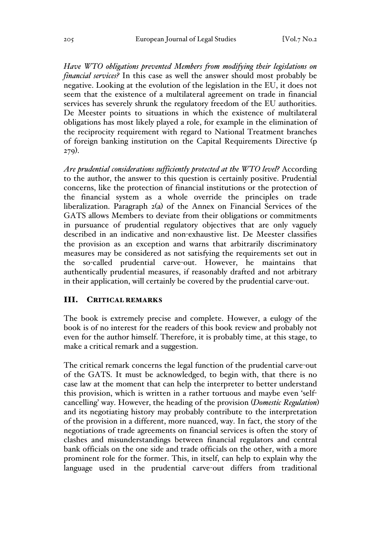*Have WTO obligations prevented Members from modifying their legislations on financial services?* In this case as well the answer should most probably be negative. Looking at the evolution of the legislation in the EU, it does not seem that the existence of a multilateral agreement on trade in financial services has severely shrunk the regulatory freedom of the EU authorities. De Meester points to situations in which the existence of multilateral obligations has most likely played a role, for example in the elimination of the reciprocity requirement with regard to National Treatment branches of foreign banking institution on the Capital Requirements Directive (p 279).

*Are prudential considerations sufficiently protected at the WTO level?* According to the author, the answer to this question is certainly positive. Prudential concerns, like the protection of financial institutions or the protection of the financial system as a whole override the principles on trade liberalization. Paragraph 2(a) of the Annex on Financial Services of the GATS allows Members to deviate from their obligations or commitments in pursuance of prudential regulatory objectives that are only vaguely described in an indicative and non-exhaustive list. De Meester classifies the provision as an exception and warns that arbitrarily discriminatory measures may be considered as not satisfying the requirements set out in the so-called prudential carve-out. However, he maintains that authentically prudential measures, if reasonably drafted and not arbitrary in their application, will certainly be covered by the prudential carve-out.

#### III. CRITICAL REMARKS

The book is extremely precise and complete. However, a eulogy of the book is of no interest for the readers of this book review and probably not even for the author himself. Therefore, it is probably time, at this stage, to make a critical remark and a suggestion.

The critical remark concerns the legal function of the prudential carve-out of the GATS. It must be acknowledged, to begin with, that there is no case law at the moment that can help the interpreter to better understand this provision, which is written in a rather tortuous and maybe even 'selfcancelling' way. However, the heading of the provision (*Domestic Regulation*) and its negotiating history may probably contribute to the interpretation of the provision in a different, more nuanced, way. In fact, the story of the negotiations of trade agreements on financial services is often the story of clashes and misunderstandings between financial regulators and central bank officials on the one side and trade officials on the other, with a more prominent role for the former. This, in itself, can help to explain why the language used in the prudential carve-out differs from traditional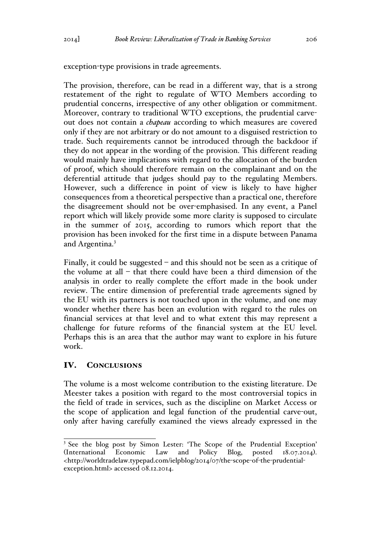exception-type provisions in trade agreements.

The provision, therefore, can be read in a different way, that is a strong restatement of the right to regulate of WTO Members according to prudential concerns, irrespective of any other obligation or commitment. Moreover, contrary to traditional WTO exceptions, the prudential carveout does not contain a *chapeau* according to which measures are covered only if they are not arbitrary or do not amount to a disguised restriction to trade. Such requirements cannot be introduced through the backdoor if they do not appear in the wording of the provision. This different reading would mainly have implications with regard to the allocation of the burden of proof, which should therefore remain on the complainant and on the deferential attitude that judges should pay to the regulating Members. However, such a difference in point of view is likely to have higher consequences from a theoretical perspective than a practical one, therefore the disagreement should not be over-emphasised. In any event, a Panel report which will likely provide some more clarity is supposed to circulate in the summer of 2015, according to rumors which report that the provision has been invoked for the first time in a dispute between Panama and Argentina.<sup>3</sup>

Finally, it could be suggested – and this should not be seen as a critique of the volume at all  $-$  that there could have been a third dimension of the analysis in order to really complete the effort made in the book under review. The entire dimension of preferential trade agreements signed by the EU with its partners is not touched upon in the volume, and one may wonder whether there has been an evolution with regard to the rules on financial services at that level and to what extent this may represent a challenge for future reforms of the financial system at the EU level. Perhaps this is an area that the author may want to explore in his future work.

# IV. CONCLUSIONS

The volume is a most welcome contribution to the existing literature. De Meester takes a position with regard to the most controversial topics in the field of trade in services, such as the discipline on Market Access or the scope of application and legal function of the prudential carve-out, only after having carefully examined the views already expressed in the

<sup>&</sup>lt;sup>3</sup> See the blog post by Simon Lester: 'The Scope of the Prudential Exception' (International Economic Law and Policy Blog, posted 18.07.2014). <http://worldtradelaw.typepad.com/ielpblog/2014/07/the-scope-of-the-prudentialexception.html> accessed 08.12.2014.